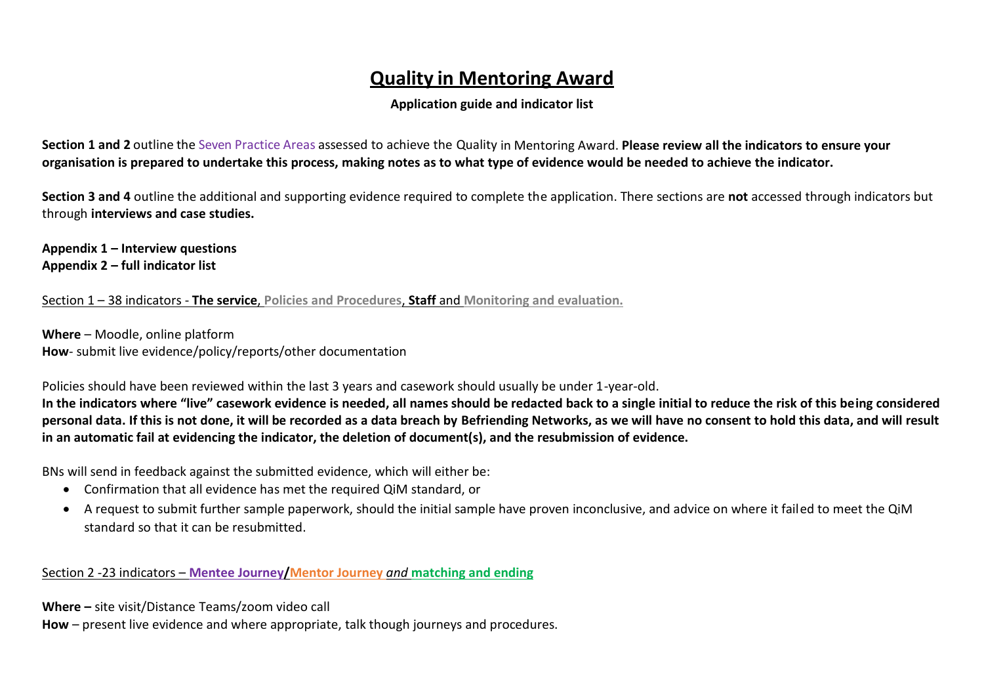# **Quality in Mentoring Award**

# **Application guide and indicator list**

**Section 1 and 2** outline the Seven Practice Areas assessed to achieve the Quality in Mentoring Award. **Please review all the indicators to ensure your organisation is prepared to undertake this process, making notes as to what type of evidence would be needed to achieve the indicator.**

**Section 3 and 4** outline the additional and supporting evidence required to complete the application. There sections are **not** accessed through indicators but through **interviews and case studies.** 

**Appendix 1 – Interview questions Appendix 2 – full indicator list** 

Section 1 – 38 indicators - **The service**, **Policies and Procedures**, **Staff** and **Monitoring and evaluation.**

**Where** – Moodle, online platform **How**- submit live evidence/policy/reports/other documentation

Policies should have been reviewed within the last 3 years and casework should usually be under 1-year-old.

**In the indicators where "live" casework evidence is needed, all names should be redacted back to a single initial to reduce the risk of this being considered personal data. If this is not done, it will be recorded as a data breach by Befriending Networks, as we will have no consent to hold this data, and will result in an automatic fail at evidencing the indicator, the deletion of document(s), and the resubmission of evidence.**

BNs will send in feedback against the submitted evidence, which will either be:

- Confirmation that all evidence has met the required QiM standard, or
- A request to submit further sample paperwork, should the initial sample have proven inconclusive, and advice on where it failed to meet the QiM standard so that it can be resubmitted.

Section 2 -23 indicators – **Mentee Journey/Mentor Journey** *and* **matching and ending**

**Where –** site visit/Distance Teams/zoom video call

**How** – present live evidence and where appropriate, talk though journeys and procedures.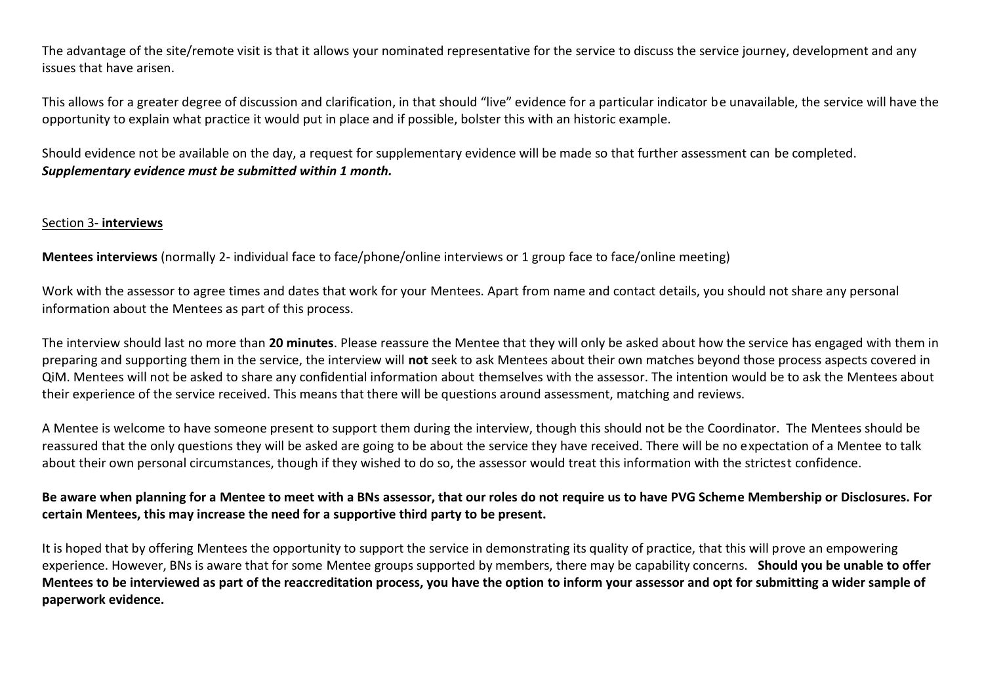The advantage of the site/remote visit is that it allows your nominated representative for the service to discuss the service journey, development and any issues that have arisen.

This allows for a greater degree of discussion and clarification, in that should "live" evidence for a particular indicator be unavailable, the service will have the opportunity to explain what practice it would put in place and if possible, bolster this with an historic example.

Should evidence not be available on the day, a request for supplementary evidence will be made so that further assessment can be completed. *Supplementary evidence must be submitted within 1 month.*

### Section 3- **interviews**

**Mentees interviews** (normally 2- individual face to face/phone/online interviews or 1 group face to face/online meeting)

Work with the assessor to agree times and dates that work for your Mentees. Apart from name and contact details, you should not share any personal information about the Mentees as part of this process.

The interview should last no more than **20 minutes**. Please reassure the Mentee that they will only be asked about how the service has engaged with them in preparing and supporting them in the service, the interview will **not** seek to ask Mentees about their own matches beyond those process aspects covered in QiM. Mentees will not be asked to share any confidential information about themselves with the assessor. The intention would be to ask the Mentees about their experience of the service received. This means that there will be questions around assessment, matching and reviews.

A Mentee is welcome to have someone present to support them during the interview, though this should not be the Coordinator. The Mentees should be reassured that the only questions they will be asked are going to be about the service they have received. There will be no expectation of a Mentee to talk about their own personal circumstances, though if they wished to do so, the assessor would treat this information with the strictest confidence.

# **Be aware when planning for a Mentee to meet with a BNs assessor, that our roles do not require us to have PVG Scheme Membership or Disclosures. For certain Mentees, this may increase the need for a supportive third party to be present.**

It is hoped that by offering Mentees the opportunity to support the service in demonstrating its quality of practice, that this will prove an empowering experience. However, BNs is aware that for some Mentee groups supported by members, there may be capability concerns. **Should you be unable to offer Mentees to be interviewed as part of the reaccreditation process, you have the option to inform your assessor and opt for submitting a wider sample of paperwork evidence.**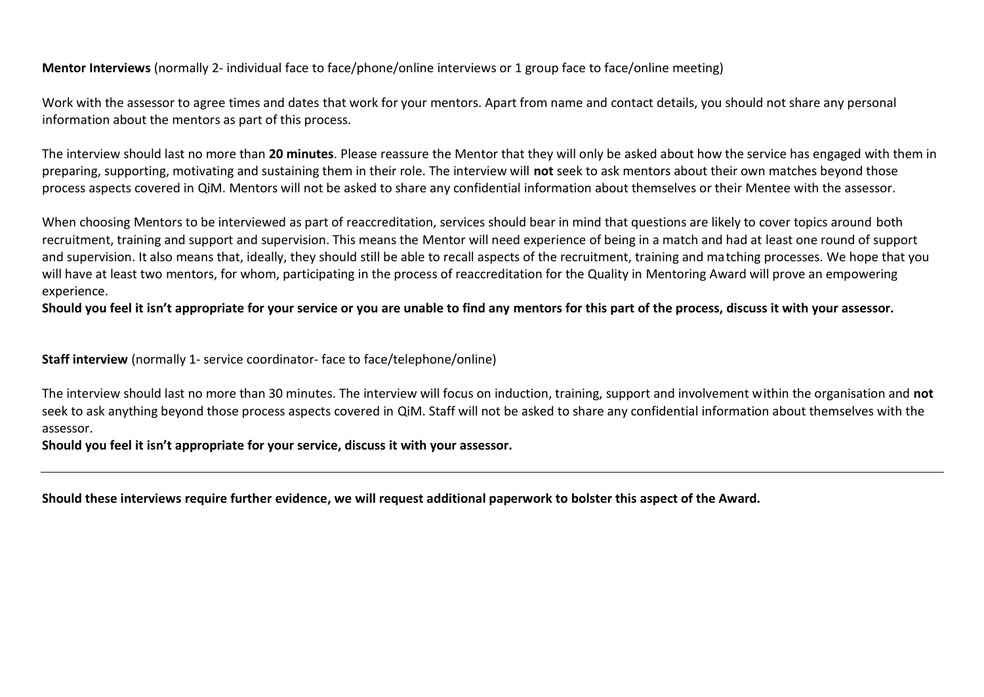**Mentor Interviews** (normally 2- individual face to face/phone/online interviews or 1 group face to face/online meeting)

Work with the assessor to agree times and dates that work for your mentors. Apart from name and contact details, you should not share any personal information about the mentors as part of this process.

The interview should last no more than **20 minutes**. Please reassure the Mentor that they will only be asked about how the service has engaged with them in preparing, supporting, motivating and sustaining them in their role. The interview will **not** seek to ask mentors about their own matches beyond those process aspects covered in QiM. Mentors will not be asked to share any confidential information about themselves or their Mentee with the assessor.

When choosing Mentors to be interviewed as part of reaccreditation, services should bear in mind that questions are likely to cover topics around both recruitment, training and support and supervision. This means the Mentor will need experience of being in a match and had at least one round of support and supervision. It also means that, ideally, they should still be able to recall aspects of the recruitment, training and matching processes. We hope that you will have at least two mentors, for whom, participating in the process of reaccreditation for the Quality in Mentoring Award will prove an empowering experience.

**Should you feel it isn't appropriate for your service or you are unable to find any mentors for this part of the process, discuss it with your assessor.** 

**Staff interview** (normally 1- service coordinator- face to face/telephone/online)

The interview should last no more than 30 minutes. The interview will focus on induction, training, support and involvement within the organisation and **not**  seek to ask anything beyond those process aspects covered in QiM. Staff will not be asked to share any confidential information about themselves with the assessor.

**Should you feel it isn't appropriate for your service, discuss it with your assessor.** 

**Should these interviews require further evidence, we will request additional paperwork to bolster this aspect of the Award.**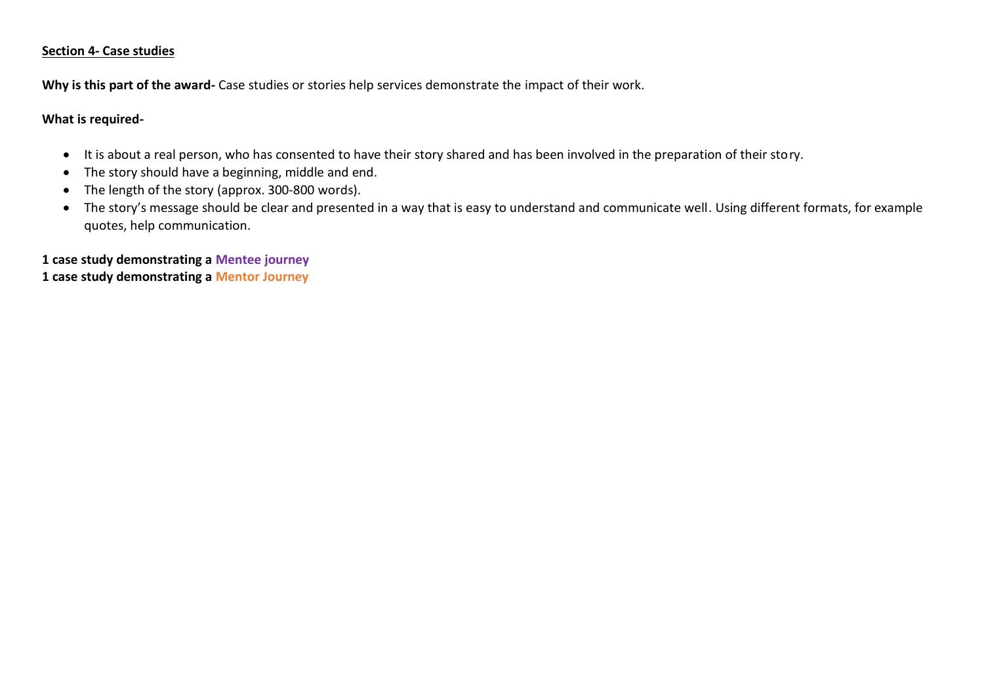#### **Section 4- Case studies**

**Why is this part of the award-** Case studies or stories help services demonstrate the impact of their work.

### **What is required-**

- It is about a real person, who has consented to have their story shared and has been involved in the preparation of their story.
- The story should have a beginning, middle and end.
- The length of the story (approx. 300-800 words).
- The story's message should be clear and presented in a way that is easy to understand and communicate well. Using different formats, for example quotes, help communication.

**1 case study demonstrating a Mentee journey 1 case study demonstrating a Mentor Journey**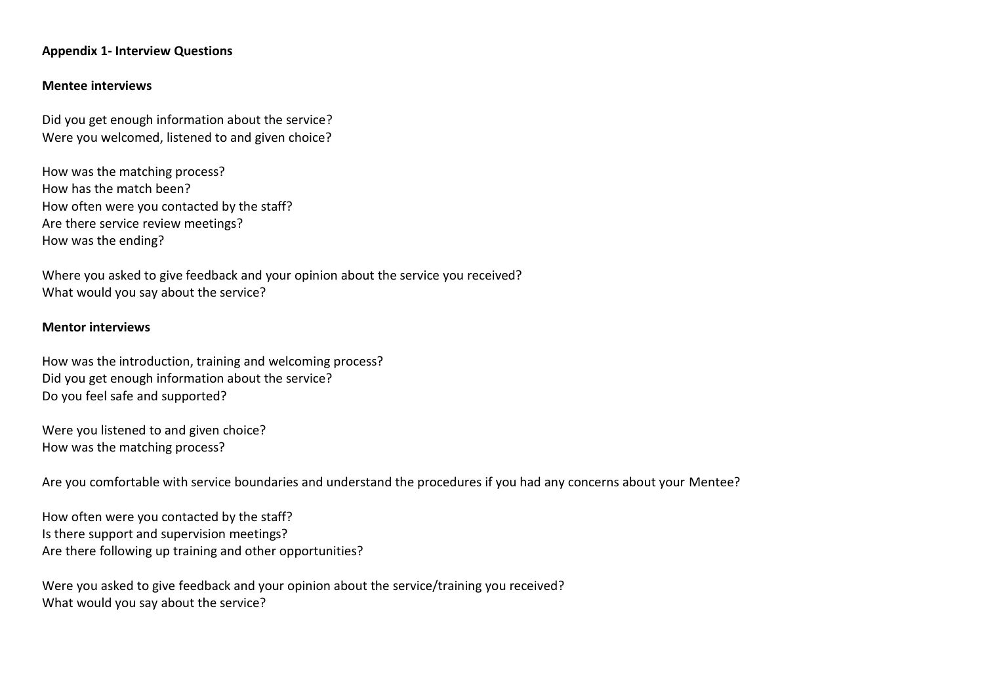#### **Appendix 1- Interview Questions**

#### **Mentee interviews**

Did you get enough information about the service? Were you welcomed, listened to and given choice?

How was the matching process? How has the match been? How often were you contacted by the staff? Are there service review meetings? How was the ending?

Where you asked to give feedback and your opinion about the service you received? What would you say about the service?

#### **Mentor interviews**

How was the introduction, training and welcoming process? Did you get enough information about the service? Do you feel safe and supported?

Were you listened to and given choice? How was the matching process?

Are you comfortable with service boundaries and understand the procedures if you had any concerns about your Mentee?

How often were you contacted by the staff? Is there support and supervision meetings? Are there following up training and other opportunities?

Were you asked to give feedback and your opinion about the service/training you received? What would you say about the service?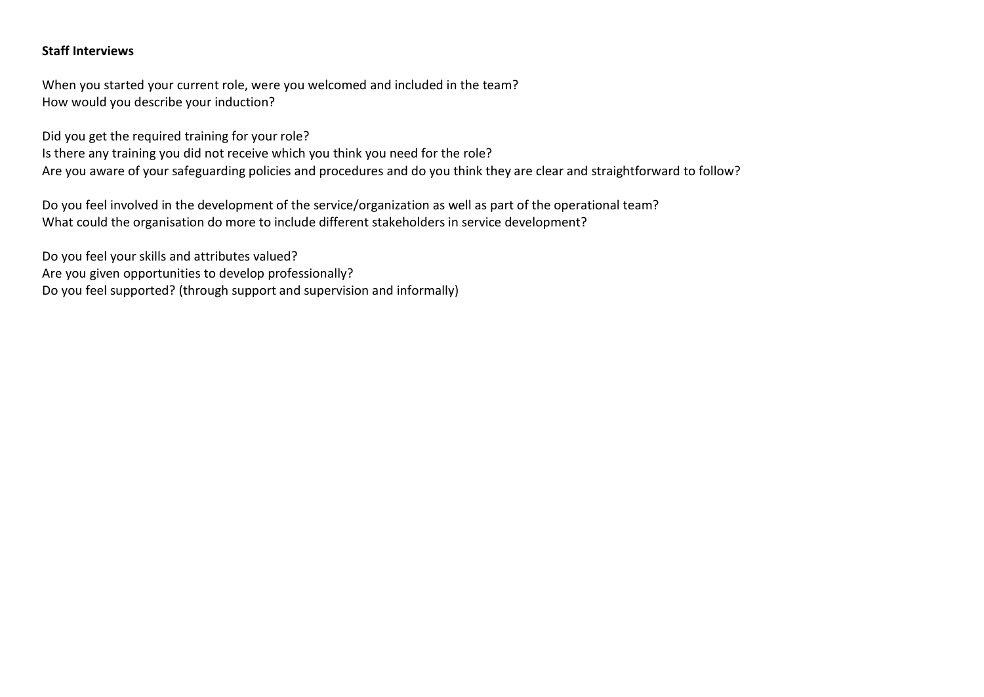### **Staff Interviews**

When you started your current role, were you welcomed and included in the team? How would you describe your induction?

Did you get the required training for your role?

Is there any training you did not receive which you think you need for the role? Are you aware of your safeguarding policies and procedures and do you think they are clear and straightforward to follow?

Do you feel involved in the development of the service/organization as well as part of the operational team? What could the organisation do more to include different stakeholders in service development?

Do you feel your skills and attributes valued? Are you given opportunities to develop professionally? Do you feel supported? (through support and supervision and informally)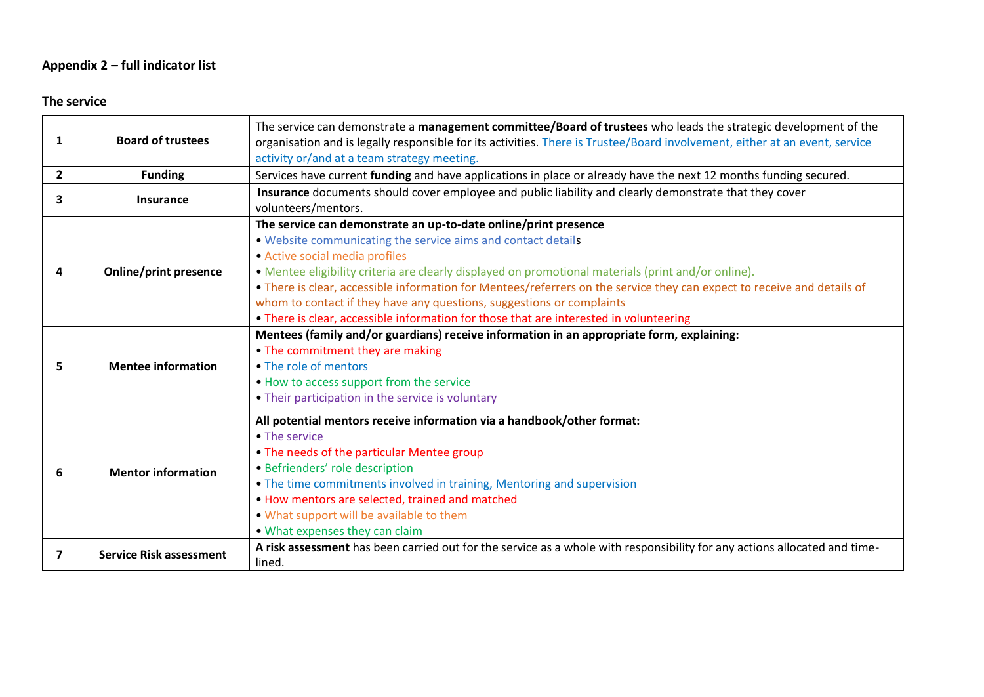# **Appendix 2 – full indicator list**

# **The service**

| 1            | <b>Board of trustees</b>       | The service can demonstrate a management committee/Board of trustees who leads the strategic development of the<br>organisation and is legally responsible for its activities. There is Trustee/Board involvement, either at an event, service<br>activity or/and at a team strategy meeting.                                                                                                                                                                                                                                                                          |
|--------------|--------------------------------|------------------------------------------------------------------------------------------------------------------------------------------------------------------------------------------------------------------------------------------------------------------------------------------------------------------------------------------------------------------------------------------------------------------------------------------------------------------------------------------------------------------------------------------------------------------------|
| $\mathbf{2}$ | <b>Funding</b>                 | Services have current funding and have applications in place or already have the next 12 months funding secured.                                                                                                                                                                                                                                                                                                                                                                                                                                                       |
| 3            | <b>Insurance</b>               | Insurance documents should cover employee and public liability and clearly demonstrate that they cover<br>volunteers/mentors.                                                                                                                                                                                                                                                                                                                                                                                                                                          |
| 4            | <b>Online/print presence</b>   | The service can demonstrate an up-to-date online/print presence<br>. Website communicating the service aims and contact details<br>• Active social media profiles<br>• Mentee eligibility criteria are clearly displayed on promotional materials (print and/or online).<br>• There is clear, accessible information for Mentees/referrers on the service they can expect to receive and details of<br>whom to contact if they have any questions, suggestions or complaints<br>• There is clear, accessible information for those that are interested in volunteering |
| 5            | <b>Mentee information</b>      | Mentees (family and/or guardians) receive information in an appropriate form, explaining:<br>• The commitment they are making<br>• The role of mentors<br>. How to access support from the service<br>• Their participation in the service is voluntary                                                                                                                                                                                                                                                                                                                |
| 6            | <b>Mentor information</b>      | All potential mentors receive information via a handbook/other format:<br>• The service<br>• The needs of the particular Mentee group<br>• Befrienders' role description<br>• The time commitments involved in training, Mentoring and supervision<br>. How mentors are selected, trained and matched<br>. What support will be available to them<br>• What expenses they can claim                                                                                                                                                                                    |
| 7            | <b>Service Risk assessment</b> | A risk assessment has been carried out for the service as a whole with responsibility for any actions allocated and time-<br>lined.                                                                                                                                                                                                                                                                                                                                                                                                                                    |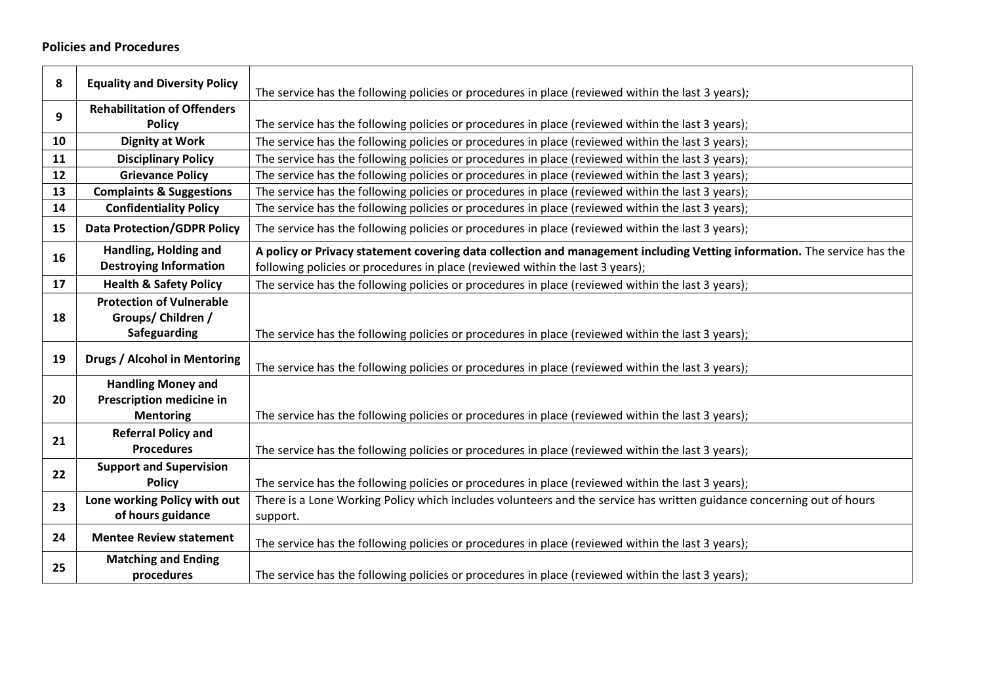## **Policies and Procedures**

| 8  | <b>Equality and Diversity Policy</b> | The service has the following policies or procedures in place (reviewed within the last 3 years);                        |
|----|--------------------------------------|--------------------------------------------------------------------------------------------------------------------------|
|    | <b>Rehabilitation of Offenders</b>   |                                                                                                                          |
| 9  | <b>Policy</b>                        | The service has the following policies or procedures in place (reviewed within the last 3 years);                        |
| 10 | <b>Dignity at Work</b>               | The service has the following policies or procedures in place (reviewed within the last 3 years);                        |
| 11 | <b>Disciplinary Policy</b>           | The service has the following policies or procedures in place (reviewed within the last 3 years);                        |
| 12 | <b>Grievance Policy</b>              | The service has the following policies or procedures in place (reviewed within the last 3 years);                        |
| 13 | <b>Complaints &amp; Suggestions</b>  | The service has the following policies or procedures in place (reviewed within the last 3 years);                        |
| 14 | <b>Confidentiality Policy</b>        | The service has the following policies or procedures in place (reviewed within the last 3 years);                        |
| 15 | <b>Data Protection/GDPR Policy</b>   | The service has the following policies or procedures in place (reviewed within the last 3 years);                        |
| 16 | Handling, Holding and                | A policy or Privacy statement covering data collection and management including Vetting information. The service has the |
|    | <b>Destroying Information</b>        | following policies or procedures in place (reviewed within the last 3 years);                                            |
| 17 | <b>Health &amp; Safety Policy</b>    | The service has the following policies or procedures in place (reviewed within the last 3 years);                        |
|    | <b>Protection of Vulnerable</b>      |                                                                                                                          |
| 18 | Groups/ Children /                   |                                                                                                                          |
|    | <b>Safeguarding</b>                  | The service has the following policies or procedures in place (reviewed within the last 3 years);                        |
| 19 | <b>Drugs / Alcohol in Mentoring</b>  | The service has the following policies or procedures in place (reviewed within the last 3 years);                        |
|    | <b>Handling Money and</b>            |                                                                                                                          |
| 20 | <b>Prescription medicine in</b>      |                                                                                                                          |
|    | <b>Mentoring</b>                     | The service has the following policies or procedures in place (reviewed within the last 3 years);                        |
| 21 | <b>Referral Policy and</b>           |                                                                                                                          |
|    | <b>Procedures</b>                    | The service has the following policies or procedures in place (reviewed within the last 3 years);                        |
| 22 | <b>Support and Supervision</b>       |                                                                                                                          |
|    | <b>Policy</b>                        | The service has the following policies or procedures in place (reviewed within the last 3 years);                        |
| 23 | Lone working Policy with out         | There is a Lone Working Policy which includes volunteers and the service has written guidance concerning out of hours    |
|    | of hours guidance                    | support.                                                                                                                 |
| 24 | <b>Mentee Review statement</b>       | The service has the following policies or procedures in place (reviewed within the last 3 years);                        |
| 25 | <b>Matching and Ending</b>           |                                                                                                                          |
|    | procedures                           | The service has the following policies or procedures in place (reviewed within the last 3 years);                        |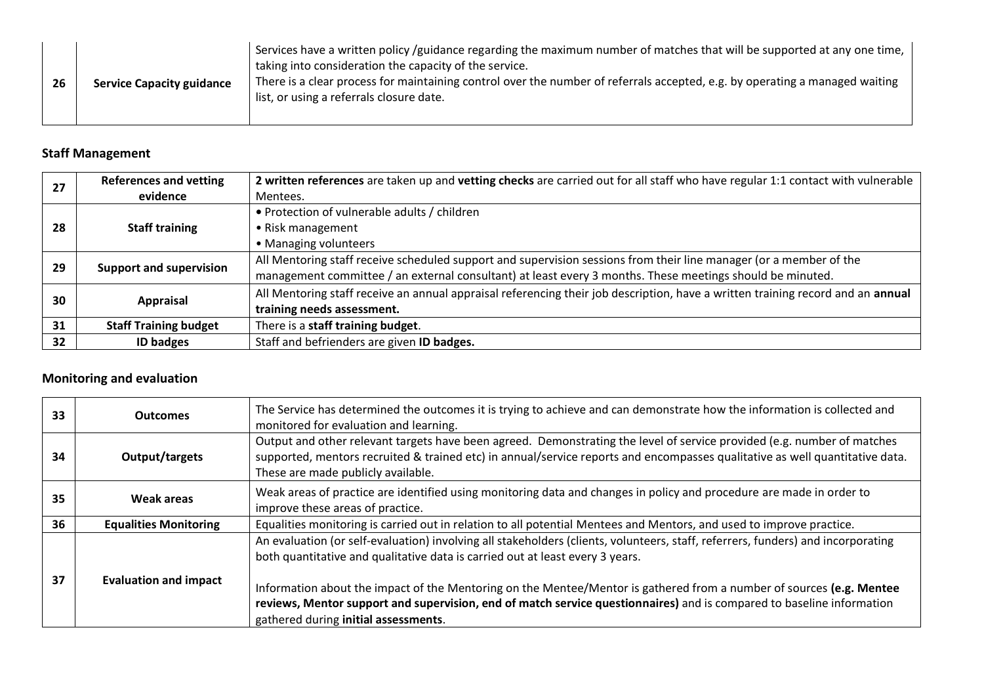| 26 | <b>Service Capacity guidance</b> | Services have a written policy /guidance regarding the maximum number of matches that will be supported at any one time,<br>taking into consideration the capacity of the service.<br>There is a clear process for maintaining control over the number of referrals accepted, e.g. by operating a managed waiting<br>list, or using a referrals closure date. |
|----|----------------------------------|---------------------------------------------------------------------------------------------------------------------------------------------------------------------------------------------------------------------------------------------------------------------------------------------------------------------------------------------------------------|
|----|----------------------------------|---------------------------------------------------------------------------------------------------------------------------------------------------------------------------------------------------------------------------------------------------------------------------------------------------------------------------------------------------------------|

# **Staff Management**

| 27 | <b>References and vetting</b>  | 2 written references are taken up and vetting checks are carried out for all staff who have regular 1:1 contact with vulnerable |
|----|--------------------------------|---------------------------------------------------------------------------------------------------------------------------------|
|    | evidence                       | Mentees.                                                                                                                        |
| 28 | <b>Staff training</b>          | • Protection of vulnerable adults / children                                                                                    |
|    |                                | • Risk management                                                                                                               |
|    |                                | • Managing volunteers                                                                                                           |
| 29 | <b>Support and supervision</b> | All Mentoring staff receive scheduled support and supervision sessions from their line manager (or a member of the              |
|    |                                | management committee / an external consultant) at least every 3 months. These meetings should be minuted.                       |
| 30 | <b>Appraisal</b>               | All Mentoring staff receive an annual appraisal referencing their job description, have a written training record and an annual |
|    |                                | training needs assessment.                                                                                                      |
| 31 | <b>Staff Training budget</b>   | There is a staff training budget.                                                                                               |
| 32 | <b>ID badges</b>               | Staff and befrienders are given ID badges.                                                                                      |

# **Monitoring and evaluation**

| 33 | <b>Outcomes</b>              | The Service has determined the outcomes it is trying to achieve and can demonstrate how the information is collected and<br>monitored for evaluation and learning.                                                                                                                                                                                                                                                                                                                                         |
|----|------------------------------|------------------------------------------------------------------------------------------------------------------------------------------------------------------------------------------------------------------------------------------------------------------------------------------------------------------------------------------------------------------------------------------------------------------------------------------------------------------------------------------------------------|
| 34 | Output/targets               | Output and other relevant targets have been agreed. Demonstrating the level of service provided (e.g. number of matches<br>supported, mentors recruited & trained etc) in annual/service reports and encompasses qualitative as well quantitative data.<br>These are made publicly available.                                                                                                                                                                                                              |
| 35 | Weak areas                   | Weak areas of practice are identified using monitoring data and changes in policy and procedure are made in order to<br>improve these areas of practice.                                                                                                                                                                                                                                                                                                                                                   |
| 36 | <b>Equalities Monitoring</b> | Equalities monitoring is carried out in relation to all potential Mentees and Mentors, and used to improve practice.                                                                                                                                                                                                                                                                                                                                                                                       |
| 37 | <b>Evaluation and impact</b> | An evaluation (or self-evaluation) involving all stakeholders (clients, volunteers, staff, referrers, funders) and incorporating<br>both quantitative and qualitative data is carried out at least every 3 years.<br>Information about the impact of the Mentoring on the Mentee/Mentor is gathered from a number of sources (e.g. Mentee<br>reviews, Mentor support and supervision, end of match service questionnaires) and is compared to baseline information<br>gathered during initial assessments. |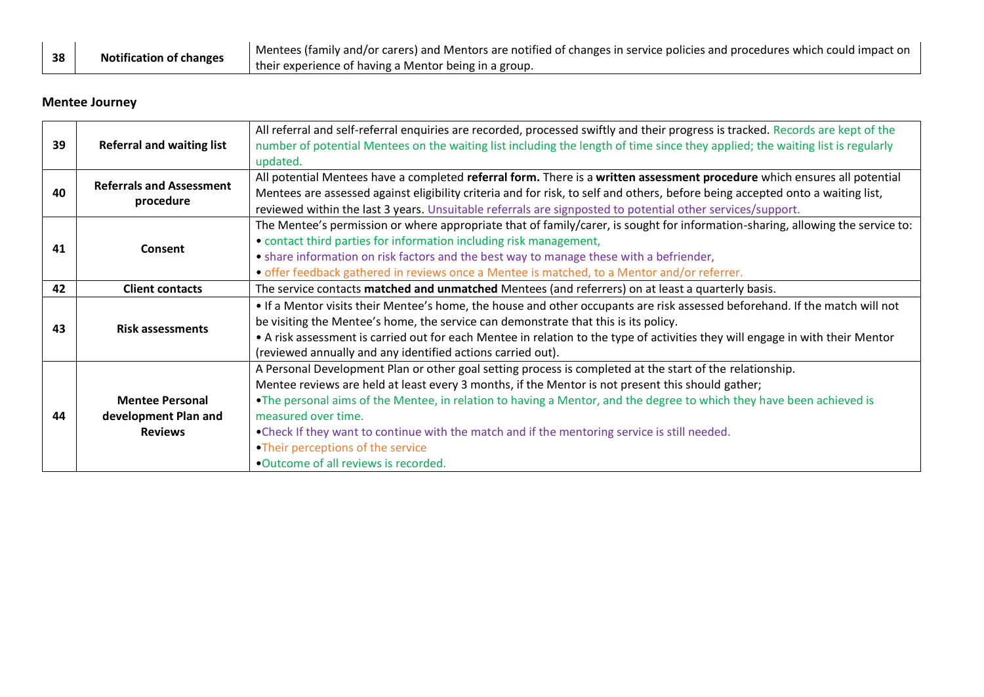| 38 | <b>Notification of changes</b>                        | Mentees (family and/or carers) and Mentors are notified of changes in service policies and procedures which could impact on |
|----|-------------------------------------------------------|-----------------------------------------------------------------------------------------------------------------------------|
|    | their experience of having a Mentor being in a group. |                                                                                                                             |

# **Mentee Journey**

| 39 | <b>Referral and waiting list</b>             | All referral and self-referral enquiries are recorded, processed swiftly and their progress is tracked. Records are kept of the<br>number of potential Mentees on the waiting list including the length of time since they applied; the waiting list is regularly |
|----|----------------------------------------------|-------------------------------------------------------------------------------------------------------------------------------------------------------------------------------------------------------------------------------------------------------------------|
|    |                                              | updated.                                                                                                                                                                                                                                                          |
|    | <b>Referrals and Assessment</b><br>procedure | All potential Mentees have a completed referral form. There is a written assessment procedure which ensures all potential                                                                                                                                         |
| 40 |                                              | Mentees are assessed against eligibility criteria and for risk, to self and others, before being accepted onto a waiting list,                                                                                                                                    |
|    |                                              | reviewed within the last 3 years. Unsuitable referrals are signposted to potential other services/support.                                                                                                                                                        |
|    |                                              | The Mentee's permission or where appropriate that of family/carer, is sought for information-sharing, allowing the service to:                                                                                                                                    |
| 41 | Consent                                      | • contact third parties for information including risk management,                                                                                                                                                                                                |
|    |                                              | • share information on risk factors and the best way to manage these with a befriender,                                                                                                                                                                           |
|    |                                              | • offer feedback gathered in reviews once a Mentee is matched, to a Mentor and/or referrer.                                                                                                                                                                       |
| 42 | <b>Client contacts</b>                       | The service contacts matched and unmatched Mentees (and referrers) on at least a quarterly basis.                                                                                                                                                                 |
|    |                                              | • If a Mentor visits their Mentee's home, the house and other occupants are risk assessed beforehand. If the match will not                                                                                                                                       |
| 43 |                                              | be visiting the Mentee's home, the service can demonstrate that this is its policy.                                                                                                                                                                               |
|    | <b>Risk assessments</b>                      | • A risk assessment is carried out for each Mentee in relation to the type of activities they will engage in with their Mentor                                                                                                                                    |
|    |                                              | (reviewed annually and any identified actions carried out).                                                                                                                                                                                                       |
|    |                                              | A Personal Development Plan or other goal setting process is completed at the start of the relationship.                                                                                                                                                          |
|    |                                              | Mentee reviews are held at least every 3 months, if the Mentor is not present this should gather;                                                                                                                                                                 |
|    | <b>Mentee Personal</b>                       | . The personal aims of the Mentee, in relation to having a Mentor, and the degree to which they have been achieved is                                                                                                                                             |
| 44 | development Plan and                         | measured over time.                                                                                                                                                                                                                                               |
|    | <b>Reviews</b>                               | • Check If they want to continue with the match and if the mentoring service is still needed.                                                                                                                                                                     |
|    |                                              | •Their perceptions of the service                                                                                                                                                                                                                                 |
|    |                                              | • Outcome of all reviews is recorded.                                                                                                                                                                                                                             |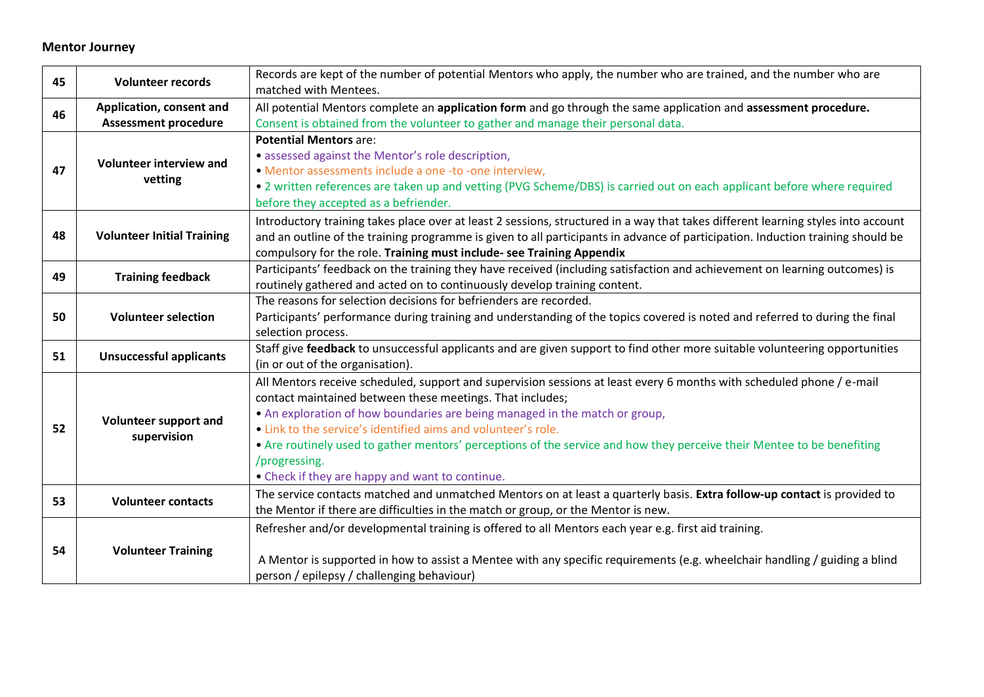## **Mentor Journey**

| 45 | <b>Volunteer records</b>                                | Records are kept of the number of potential Mentors who apply, the number who are trained, and the number who are<br>matched with Mentees.                                                                                                                                                                                                                                                                                                                                                                                       |
|----|---------------------------------------------------------|----------------------------------------------------------------------------------------------------------------------------------------------------------------------------------------------------------------------------------------------------------------------------------------------------------------------------------------------------------------------------------------------------------------------------------------------------------------------------------------------------------------------------------|
| 46 | Application, consent and<br><b>Assessment procedure</b> | All potential Mentors complete an application form and go through the same application and assessment procedure.<br>Consent is obtained from the volunteer to gather and manage their personal data.                                                                                                                                                                                                                                                                                                                             |
| 47 | <b>Volunteer interview and</b><br>vetting               | <b>Potential Mentors are:</b><br>· assessed against the Mentor's role description,<br>· Mentor assessments include a one -to -one interview,<br>• 2 written references are taken up and vetting (PVG Scheme/DBS) is carried out on each applicant before where required<br>before they accepted as a befriender.                                                                                                                                                                                                                 |
| 48 | <b>Volunteer Initial Training</b>                       | Introductory training takes place over at least 2 sessions, structured in a way that takes different learning styles into account<br>and an outline of the training programme is given to all participants in advance of participation. Induction training should be<br>compulsory for the role. Training must include- see Training Appendix                                                                                                                                                                                    |
| 49 | <b>Training feedback</b>                                | Participants' feedback on the training they have received (including satisfaction and achievement on learning outcomes) is<br>routinely gathered and acted on to continuously develop training content.                                                                                                                                                                                                                                                                                                                          |
| 50 | <b>Volunteer selection</b>                              | The reasons for selection decisions for befrienders are recorded.<br>Participants' performance during training and understanding of the topics covered is noted and referred to during the final<br>selection process.                                                                                                                                                                                                                                                                                                           |
| 51 | <b>Unsuccessful applicants</b>                          | Staff give feedback to unsuccessful applicants and are given support to find other more suitable volunteering opportunities<br>(in or out of the organisation).                                                                                                                                                                                                                                                                                                                                                                  |
| 52 | Volunteer support and<br>supervision                    | All Mentors receive scheduled, support and supervision sessions at least every 6 months with scheduled phone / e-mail<br>contact maintained between these meetings. That includes;<br>• An exploration of how boundaries are being managed in the match or group,<br>• Link to the service's identified aims and volunteer's role.<br>• Are routinely used to gather mentors' perceptions of the service and how they perceive their Mentee to be benefiting<br>/progressing.<br>• Check if they are happy and want to continue. |
| 53 | <b>Volunteer contacts</b>                               | The service contacts matched and unmatched Mentors on at least a quarterly basis. Extra follow-up contact is provided to<br>the Mentor if there are difficulties in the match or group, or the Mentor is new.                                                                                                                                                                                                                                                                                                                    |
| 54 | <b>Volunteer Training</b>                               | Refresher and/or developmental training is offered to all Mentors each year e.g. first aid training.<br>A Mentor is supported in how to assist a Mentee with any specific requirements (e.g. wheelchair handling / guiding a blind<br>person / epilepsy / challenging behaviour)                                                                                                                                                                                                                                                 |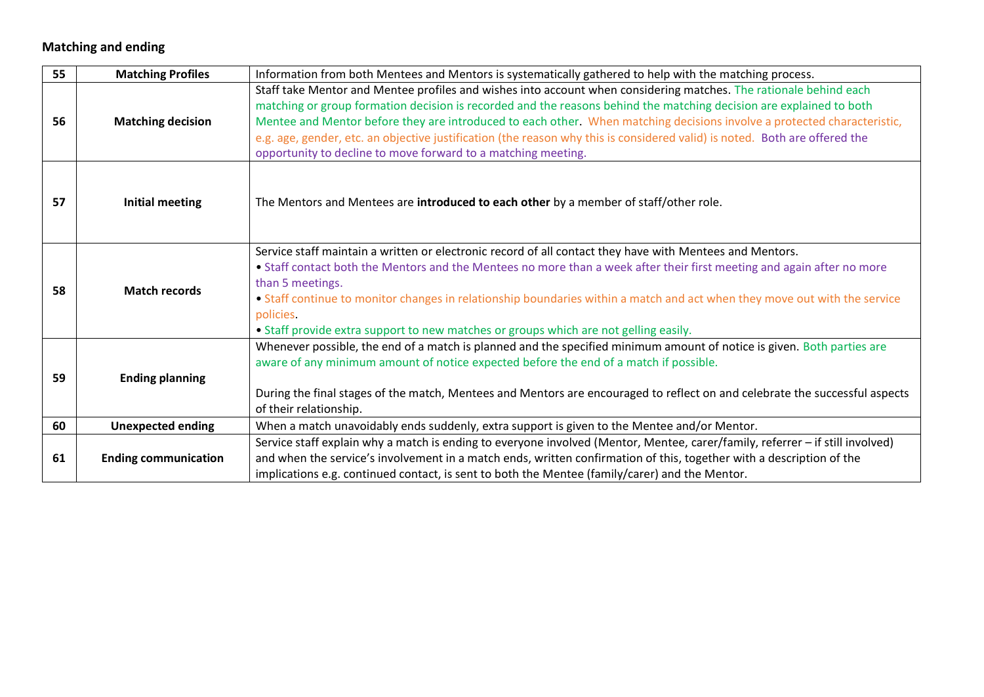# **Matching and ending**

| 55 | <b>Matching Profiles</b>    | Information from both Mentees and Mentors is systematically gathered to help with the matching process.                                                                                                                                                                                                                                                                                                                                                                                                                                                            |
|----|-----------------------------|--------------------------------------------------------------------------------------------------------------------------------------------------------------------------------------------------------------------------------------------------------------------------------------------------------------------------------------------------------------------------------------------------------------------------------------------------------------------------------------------------------------------------------------------------------------------|
| 56 | <b>Matching decision</b>    | Staff take Mentor and Mentee profiles and wishes into account when considering matches. The rationale behind each<br>matching or group formation decision is recorded and the reasons behind the matching decision are explained to both<br>Mentee and Mentor before they are introduced to each other. When matching decisions involve a protected characteristic,<br>e.g. age, gender, etc. an objective justification (the reason why this is considered valid) is noted. Both are offered the<br>opportunity to decline to move forward to a matching meeting. |
| 57 | <b>Initial meeting</b>      | The Mentors and Mentees are introduced to each other by a member of staff/other role.                                                                                                                                                                                                                                                                                                                                                                                                                                                                              |
| 58 | <b>Match records</b>        | Service staff maintain a written or electronic record of all contact they have with Mentees and Mentors.<br>• Staff contact both the Mentors and the Mentees no more than a week after their first meeting and again after no more<br>than 5 meetings.<br>• Staff continue to monitor changes in relationship boundaries within a match and act when they move out with the service<br>policies.<br>• Staff provide extra support to new matches or groups which are not gelling easily.                                                                           |
| 59 | <b>Ending planning</b>      | Whenever possible, the end of a match is planned and the specified minimum amount of notice is given. Both parties are<br>aware of any minimum amount of notice expected before the end of a match if possible.<br>During the final stages of the match, Mentees and Mentors are encouraged to reflect on and celebrate the successful aspects<br>of their relationship.                                                                                                                                                                                           |
| 60 | <b>Unexpected ending</b>    | When a match unavoidably ends suddenly, extra support is given to the Mentee and/or Mentor.                                                                                                                                                                                                                                                                                                                                                                                                                                                                        |
| 61 | <b>Ending communication</b> | Service staff explain why a match is ending to everyone involved (Mentor, Mentee, carer/family, referrer - if still involved)<br>and when the service's involvement in a match ends, written confirmation of this, together with a description of the<br>implications e.g. continued contact, is sent to both the Mentee (family/carer) and the Mentor.                                                                                                                                                                                                            |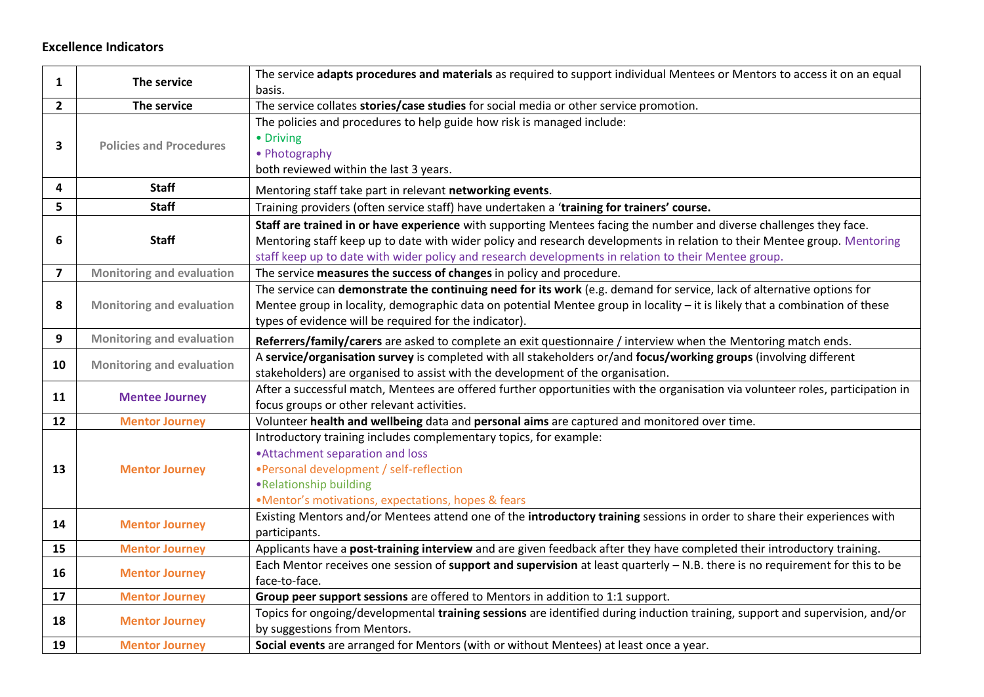### **Excellence Indicators**

| $\mathbf{1}$            | The service                      | The service adapts procedures and materials as required to support individual Mentees or Mentors to access it on an equal<br>basis.                                                                                                                                                                                                                     |
|-------------------------|----------------------------------|---------------------------------------------------------------------------------------------------------------------------------------------------------------------------------------------------------------------------------------------------------------------------------------------------------------------------------------------------------|
| $\mathbf{2}$            | The service                      | The service collates stories/case studies for social media or other service promotion.                                                                                                                                                                                                                                                                  |
| 3                       | <b>Policies and Procedures</b>   | The policies and procedures to help guide how risk is managed include:<br>• Driving<br>• Photography<br>both reviewed within the last 3 years.                                                                                                                                                                                                          |
| 4                       | <b>Staff</b>                     | Mentoring staff take part in relevant networking events.                                                                                                                                                                                                                                                                                                |
| 5                       | <b>Staff</b>                     | Training providers (often service staff) have undertaken a 'training for trainers' course.                                                                                                                                                                                                                                                              |
| 6                       | <b>Staff</b>                     | Staff are trained in or have experience with supporting Mentees facing the number and diverse challenges they face.<br>Mentoring staff keep up to date with wider policy and research developments in relation to their Mentee group. Mentoring<br>staff keep up to date with wider policy and research developments in relation to their Mentee group. |
| $\overline{\mathbf{z}}$ | <b>Monitoring and evaluation</b> | The service measures the success of changes in policy and procedure.                                                                                                                                                                                                                                                                                    |
| 8                       | <b>Monitoring and evaluation</b> | The service can demonstrate the continuing need for its work (e.g. demand for service, lack of alternative options for<br>Mentee group in locality, demographic data on potential Mentee group in locality - it is likely that a combination of these<br>types of evidence will be required for the indicator).                                         |
| 9                       | <b>Monitoring and evaluation</b> | Referrers/family/carers are asked to complete an exit questionnaire / interview when the Mentoring match ends.                                                                                                                                                                                                                                          |
| 10                      | <b>Monitoring and evaluation</b> | A service/organisation survey is completed with all stakeholders or/and focus/working groups (involving different<br>stakeholders) are organised to assist with the development of the organisation.                                                                                                                                                    |
| 11                      | <b>Mentee Journey</b>            | After a successful match, Mentees are offered further opportunities with the organisation via volunteer roles, participation in<br>focus groups or other relevant activities.                                                                                                                                                                           |
| 12                      | <b>Mentor Journey</b>            | Volunteer health and wellbeing data and personal aims are captured and monitored over time.                                                                                                                                                                                                                                                             |
| 13                      | <b>Mentor Journey</b>            | Introductory training includes complementary topics, for example:<br>• Attachment separation and loss<br>. Personal development / self-reflection<br>•Relationship building<br>.Mentor's motivations, expectations, hopes & fears                                                                                                                       |
| 14                      | <b>Mentor Journey</b>            | Existing Mentors and/or Mentees attend one of the introductory training sessions in order to share their experiences with<br>participants.                                                                                                                                                                                                              |
| 15                      | <b>Mentor Journey</b>            | Applicants have a post-training interview and are given feedback after they have completed their introductory training.                                                                                                                                                                                                                                 |
| 16                      | <b>Mentor Journey</b>            | Each Mentor receives one session of support and supervision at least quarterly - N.B. there is no requirement for this to be<br>face-to-face.                                                                                                                                                                                                           |
| 17                      | <b>Mentor Journey</b>            | Group peer support sessions are offered to Mentors in addition to 1:1 support.                                                                                                                                                                                                                                                                          |
| 18                      | <b>Mentor Journey</b>            | Topics for ongoing/developmental training sessions are identified during induction training, support and supervision, and/or<br>by suggestions from Mentors.                                                                                                                                                                                            |
| 19                      | <b>Mentor Journey</b>            | Social events are arranged for Mentors (with or without Mentees) at least once a year.                                                                                                                                                                                                                                                                  |